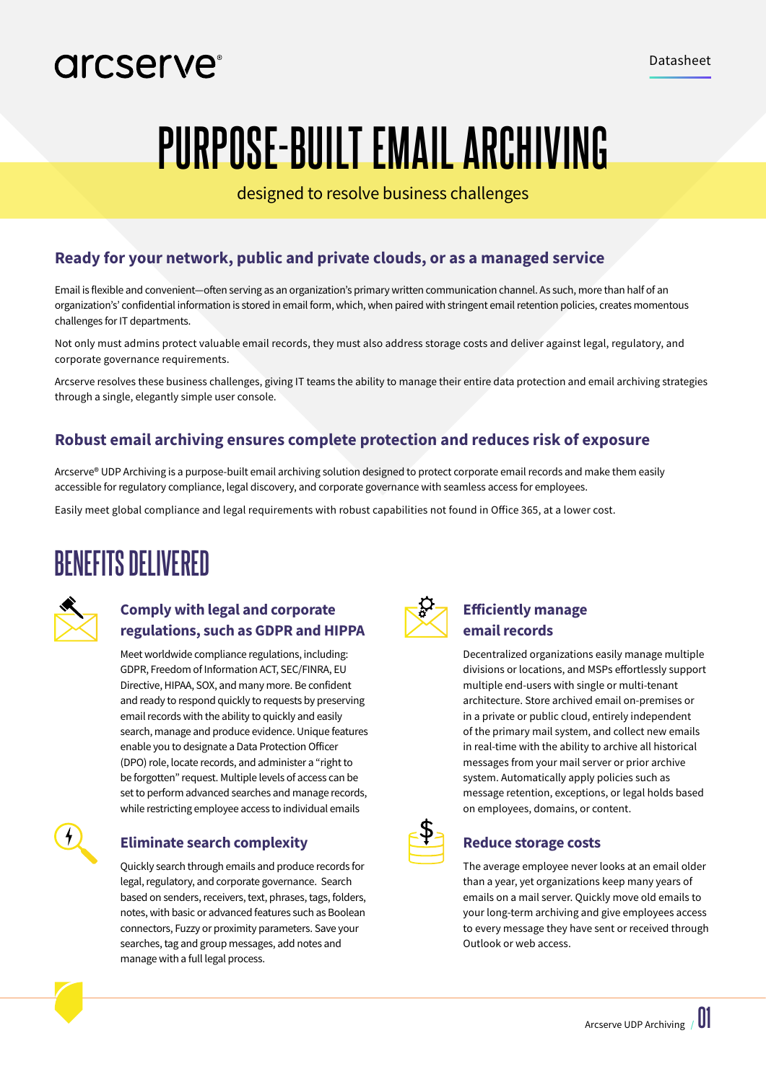### arcserve<sup>®</sup>

# **PURPOSE-BUILT EMAIL ARCHIVING**

designed to resolve business challenges

### **Ready for your network, public and private clouds, or as a managed service**

Email is flexible and convenient—often serving as an organization's primary written communication channel. As such, more than half of an organization's' confidential information is stored in email form, which, when paired with stringent email retention policies, creates momentous challenges for IT departments.

Not only must admins protect valuable email records, they must also address storage costs and deliver against legal, regulatory, and corporate governance requirements.

Arcserve resolves these business challenges, giving IT teams the ability to manage their entire data protection and email archiving strategies through a single, elegantly simple user console.

#### **Robust email archiving ensures complete protection and reduces risk of exposure**

Arcserve® UDP Archiving is a purpose-built email archiving solution designed to protect corporate email records and make them easily accessible for regulatory compliance, legal discovery, and corporate governance with seamless access for employees.

Easily meet global compliance and legal requirements with robust capabilities not found in Office 365, at a lower cost.

### **BENEFITS DELIVERED**



#### **Comply with legal and corporate regulations, such as GDPR and HIPPA**

Meet worldwide compliance regulations, including: GDPR, Freedom of Information ACT, SEC/FINRA, EU Directive, HIPAA, SOX, and many more. Be confident and ready to respond quickly to requests by preserving email records with the ability to quickly and easily search, manage and produce evidence. Unique features enable you to designate a Data Protection Officer (DPO) role, locate records, and administer a "right to be forgotten" request. Multiple levels of access can be set to perform advanced searches and manage records, while restricting employee access to individual emails



#### **Eliminate search complexity**

Quickly search through emails and produce records for legal, regulatory, and corporate governance. Search based on senders, receivers, text, phrases, tags, folders, notes, with basic or advanced features such as Boolean connectors, Fuzzy or proximity parameters. Save your searches, tag and group messages, add notes and manage with a full legal process.



#### **Efficiently manage email records**

Decentralized organizations easily manage multiple divisions or locations, and MSPs effortlessly support multiple end-users with single or multi-tenant architecture. Store archived email on-premises or in a private or public cloud, entirely independent of the primary mail system, and collect new emails in real-time with the ability to archive all historical messages from your mail server or prior archive system. Automatically apply policies such as message retention, exceptions, or legal holds based on employees, domains, or content.



#### **Reduce storage costs**

The average employee never looks at an email older than a year, yet organizations keep many years of emails on a mail server. Quickly move old emails to your long-term archiving and give employees access to every message they have sent or received through Outlook or web access.